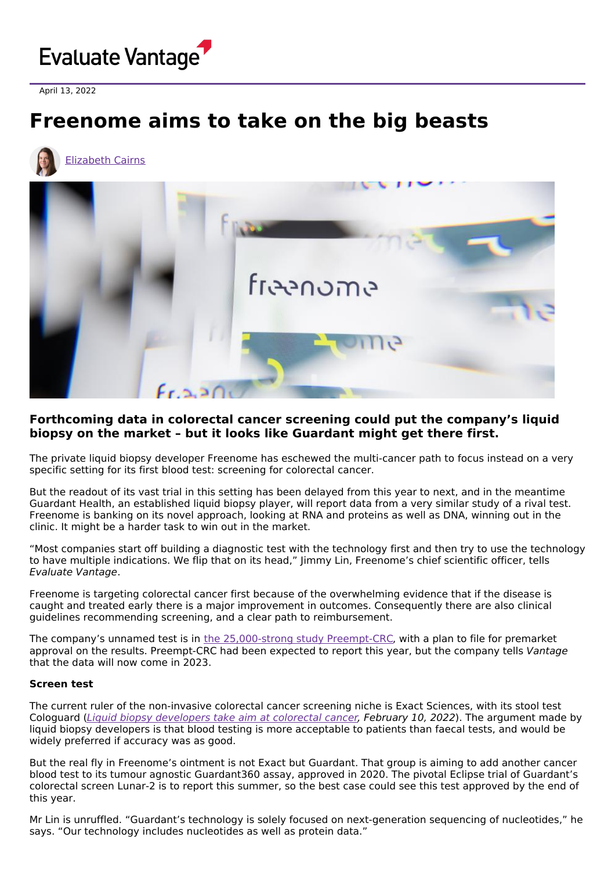

April 13, 2022

# **Freenome aims to take on the big beasts**



## **Forthcoming data in colorectal cancer screening could put the company's liquid biopsy on the market – but it looks like Guardant might get there first.**

The private liquid biopsy developer Freenome has eschewed the multi-cancer path to focus instead on a very specific setting for its first blood test: screening for colorectal cancer.

But the readout of its vast trial in this setting has been delayed from this year to next, and in the meantime Guardant Health, an established liquid biopsy player, will report data from a very similar study of a rival test. Freenome is banking on its novel approach, looking at RNA and proteins as well as DNA, winning out in the clinic. It might be a harder task to win out in the market.

"Most companies start off building a diagnostic test with the technology first and then try to use the technology to have multiple indications. We flip that on its head," Jimmy Lin, Freenome's chief scientific officer, tells Evaluate Vantage.

Freenome is targeting colorectal cancer first because of the overwhelming evidence that if the disease is caught and treated early there is a major improvement in outcomes. Consequently there are also clinical guidelines recommending screening, and a clear path to reimbursement.

The company's unnamed test is in the [25,000-strong](https://clinicaltrials.gov/ct2/show/NCT04369053) study Preempt-CRC, with a plan to file for premarket approval on the results. Preempt-CRC had been expected to report this year, but the company tells Vantage that the data will now come in 2023.

#### **Screen test**

The current ruler of the non-invasive colorectal cancer screening niche is Exact Sciences, with its stool test Cologuard (Liquid biopsy [developers](https://www.evaluate.com/vantage/articles/interviews/liquid-biopsy-developers-take-aim-colorectal-cancer) take aim at colorectal cancer, February 10, 2022). The argument made by liquid biopsy developers is that blood testing is more acceptable to patients than faecal tests, and would be widely preferred if accuracy was as good.

But the real fly in Freenome's ointment is not Exact but Guardant. That group is aiming to add another cancer blood test to its tumour agnostic Guardant360 assay, approved in 2020. The pivotal Eclipse trial of Guardant's colorectal screen Lunar-2 is to report this summer, so the best case could see this test approved by the end of this year.

Mr Lin is unruffled. "Guardant's technology is solely focused on next-generation sequencing of nucleotides," he says. "Our technology includes nucleotides as well as protein data."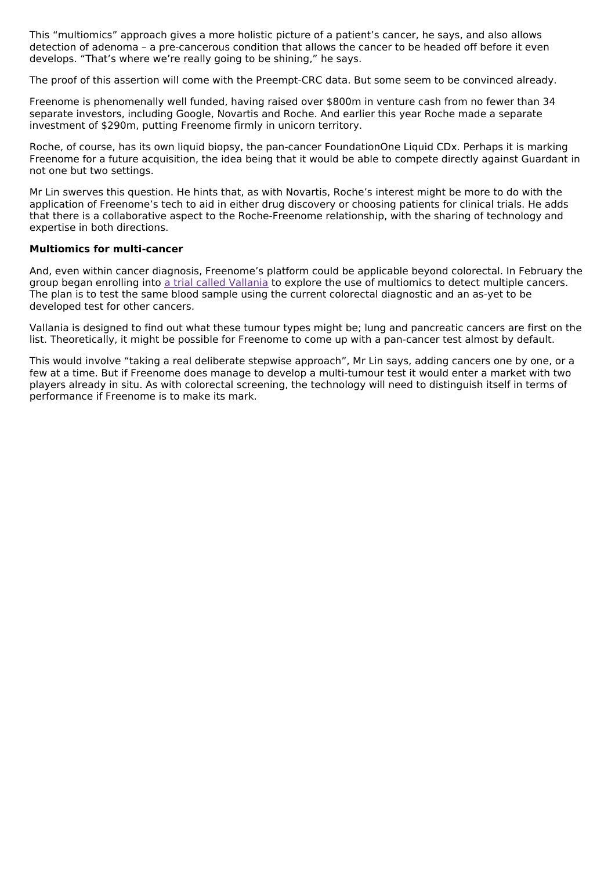This "multiomics" approach gives a more holistic picture of a patient's cancer, he says, and also allows detection of adenoma – a pre-cancerous condition that allows the cancer to be headed off before it even develops. "That's where we're really going to be shining," he says.

The proof of this assertion will come with the Preempt-CRC data. But some seem to be convinced already.

Freenome is phenomenally well funded, having raised over \$800m in venture cash from no fewer than 34 separate investors, including Google, Novartis and Roche. And earlier this year Roche made a separate investment of \$290m, putting Freenome firmly in unicorn territory.

Roche, of course, has its own liquid biopsy, the pan-cancer FoundationOne Liquid CDx. Perhaps it is marking Freenome for a future acquisition, the idea being that it would be able to compete directly against Guardant in not one but two settings.

Mr Lin swerves this question. He hints that, as with Novartis, Roche's interest might be more to do with the application of Freenome's tech to aid in either drug discovery or choosing patients for clinical trials. He adds that there is a collaborative aspect to the Roche-Freenome relationship, with the sharing of technology and expertise in both directions.

#### **Multiomics for multi-cancer**

And, even within cancer diagnosis, Freenome's platform could be applicable beyond colorectal. In February the group began enrolling into a trial called [Vallania](https://clinicaltrials.gov/ct2/show/NCT05254834) to explore the use of multiomics to detect multiple cancers. The plan is to test the same blood sample using the current colorectal diagnostic and an as-yet to be developed test for other cancers.

Vallania is designed to find out what these tumour types might be; lung and pancreatic cancers are first on the list. Theoretically, it might be possible for Freenome to come up with a pan-cancer test almost by default.

This would involve "taking a real deliberate stepwise approach", Mr Lin says, adding cancers one by one, or a few at a time. But if Freenome does manage to develop a multi-tumour test it would enter a market with two players already in situ. As with colorectal screening, the technology will need to distinguish itself in terms of performance if Freenome is to make its mark.